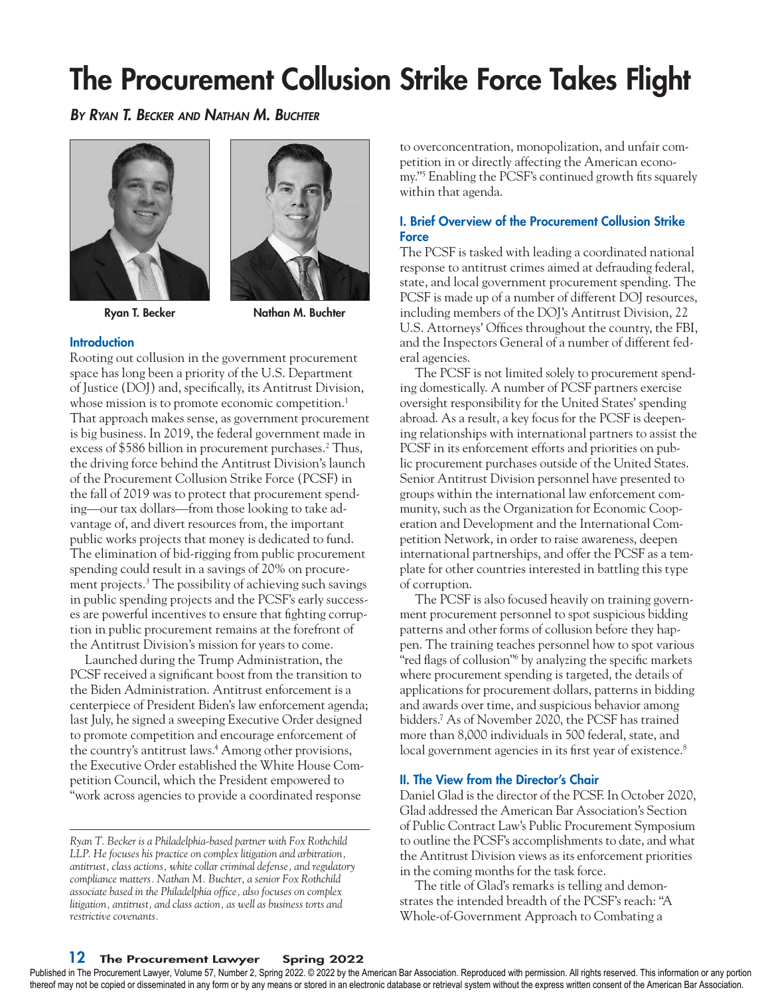# The Procurement Collusion Strike Force Takes Flight

*By Ryan T. Becker and Nathan M. Buchter*



Ryan T. Becker Nathan M. Buchter

## **Introduction**

Rooting out collusion in the government procurement space has long been a priority of the U.S. Department of Justice (DOJ) and, specifically, its Antitrust Division, whose mission is to promote economic competition.<sup>1</sup> That approach makes sense, as government procurement is big business. In 2019, the federal government made in excess of \$586 billion in procurement purchases.<sup>2</sup> Thus, the driving force behind the Antitrust Division's launch of the Procurement Collusion Strike Force (PCSF) in the fall of 2019 was to protect that procurement spending—our tax dollars—from those looking to take advantage of, and divert resources from, the important public works projects that money is dedicated to fund. The elimination of bid-rigging from public procurement spending could result in a savings of 20% on procurement projects.3 The possibility of achieving such savings in public spending projects and the PCSF's early successes are powerful incentives to ensure that fighting corruption in public procurement remains at the forefront of the Antitrust Division's mission for years to come.

Launched during the Trump Administration, the PCSF received a significant boost from the transition to the Biden Administration. Antitrust enforcement is a centerpiece of President Biden's law enforcement agenda; last July, he signed a sweeping Executive Order designed to promote competition and encourage enforcement of the country's antitrust laws.4 Among other provisions, the Executive Order established the White House Competition Council, which the President empowered to "work across agencies to provide a coordinated response

to overconcentration, monopolization, and unfair competition in or directly affecting the American economy."5 Enabling the PCSF's continued growth fits squarely within that agenda.

# I. Brief Overview of the Procurement Collusion Strike **Force**

The PCSF is tasked with leading a coordinated national response to antitrust crimes aimed at defrauding federal, state, and local government procurement spending. The PCSF is made up of a number of different DOJ resources, including members of the DOJ's Antitrust Division, 22 U.S. Attorneys' Offices throughout the country, the FBI, and the Inspectors General of a number of different federal agencies.

The PCSF is not limited solely to procurement spending domestically. A number of PCSF partners exercise oversight responsibility for the United States' spending abroad. As a result, a key focus for the PCSF is deepening relationships with international partners to assist the PCSF in its enforcement efforts and priorities on public procurement purchases outside of the United States. Senior Antitrust Division personnel have presented to groups within the international law enforcement community, such as the Organization for Economic Cooperation and Development and the International Competition Network, in order to raise awareness, deepen international partnerships, and offer the PCSF as a template for other countries interested in battling this type of corruption.

The PCSF is also focused heavily on training government procurement personnel to spot suspicious bidding patterns and other forms of collusion before they happen. The training teaches personnel how to spot various "red flags of collusion"<sup>6</sup> by analyzing the specific markets where procurement spending is targeted, the details of applications for procurement dollars, patterns in bidding and awards over time, and suspicious behavior among bidders.7 As of November 2020, the PCSF has trained more than 8,000 individuals in 500 federal, state, and local government agencies in its first year of existence.<sup>8</sup>

## II. The View from the Director's Chair

Daniel Glad is the director of the PCSF. In October 2020, Glad addressed the American Bar Association's Section of Public Contract Law's Public Procurement Symposium to outline the PCSF's accomplishments to date, and what the Antitrust Division views as its enforcement priorities in the coming months for the task force.

The title of Glad's remarks is telling and demonstrates the intended breadth of the PCSF's reach: "A Whole-of-Government Approach to Combating a

# 12 The Procurement Lawyer Spring 2022

Published in The Procurement Lawyer, Volume 57, Number 2, Spring 2022. © 2022 by the American Bar Association. Reproduced with permission. All rights reserved. This information or any portion thereof may not be copied or disseminated in any form or by any means or stored in an electronic database or retrieval system without the express written consent of the American Bar Association.

*Ryan T. Becker is a Philadelphia-based partner with Fox Rothchild LLP. He focuses his practice on complex litigation and arbitration, antitrust, class actions, white collar criminal defense, and regulatory compliance matters. Nathan M. Buchter, a senior Fox Rothchild associate based in the Philadelphia office, also focuses on complex litigation, antitrust, and class action, as well as business torts and restrictive covenants.*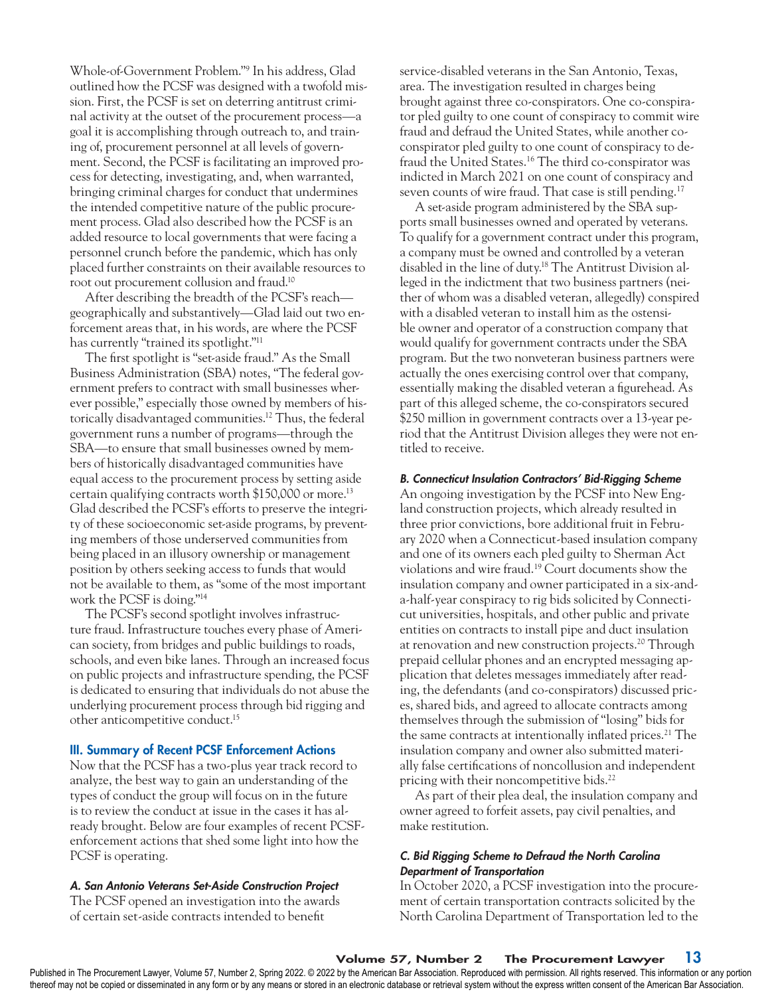Whole-of-Government Problem."9 In his address, Glad outlined how the PCSF was designed with a twofold mission. First, the PCSF is set on deterring antitrust criminal activity at the outset of the procurement process—a goal it is accomplishing through outreach to, and training of, procurement personnel at all levels of government. Second, the PCSF is facilitating an improved process for detecting, investigating, and, when warranted, bringing criminal charges for conduct that undermines the intended competitive nature of the public procurement process. Glad also described how the PCSF is an added resource to local governments that were facing a personnel crunch before the pandemic, which has only placed further constraints on their available resources to root out procurement collusion and fraud.10

After describing the breadth of the PCSF's reach geographically and substantively—Glad laid out two enforcement areas that, in his words, are where the PCSF has currently "trained its spotlight."<sup>11</sup>

The first spotlight is "set-aside fraud." As the Small Business Administration (SBA) notes, "The federal government prefers to contract with small businesses wherever possible," especially those owned by members of historically disadvantaged communities.12 Thus, the federal government runs a number of programs—through the SBA—to ensure that small businesses owned by members of historically disadvantaged communities have equal access to the procurement process by setting aside certain qualifying contracts worth \$150,000 or more.13 Glad described the PCSF's efforts to preserve the integrity of these socioeconomic set-aside programs, by preventing members of those underserved communities from being placed in an illusory ownership or management position by others seeking access to funds that would not be available to them, as "some of the most important work the PCSF is doing."14

The PCSF's second spotlight involves infrastructure fraud. Infrastructure touches every phase of American society, from bridges and public buildings to roads, schools, and even bike lanes. Through an increased focus on public projects and infrastructure spending, the PCSF is dedicated to ensuring that individuals do not abuse the underlying procurement process through bid rigging and other anticompetitive conduct.15

#### III. Summary of Recent PCSF Enforcement Actions

Now that the PCSF has a two-plus year track record to analyze, the best way to gain an understanding of the types of conduct the group will focus on in the future is to review the conduct at issue in the cases it has already brought. Below are four examples of recent PCSFenforcement actions that shed some light into how the PCSF is operating.

#### *A. San Antonio Veterans Set-Aside Construction Project*

The PCSF opened an investigation into the awards of certain set-aside contracts intended to benefit

service-disabled veterans in the San Antonio, Texas, area. The investigation resulted in charges being brought against three co-conspirators. One co-conspirator pled guilty to one count of conspiracy to commit wire fraud and defraud the United States, while another coconspirator pled guilty to one count of conspiracy to defraud the United States.<sup>16</sup> The third co-conspirator was indicted in March 2021 on one count of conspiracy and seven counts of wire fraud. That case is still pending.<sup>17</sup>

A set-aside program administered by the SBA supports small businesses owned and operated by veterans. To qualify for a government contract under this program, a company must be owned and controlled by a veteran disabled in the line of duty.18 The Antitrust Division alleged in the indictment that two business partners (neither of whom was a disabled veteran, allegedly) conspired with a disabled veteran to install him as the ostensible owner and operator of a construction company that would qualify for government contracts under the SBA program. But the two nonveteran business partners were actually the ones exercising control over that company, essentially making the disabled veteran a figurehead. As part of this alleged scheme, the co-conspirators secured \$250 million in government contracts over a 13-year period that the Antitrust Division alleges they were not entitled to receive.

#### *B. Connecticut Insulation Contractors' Bid-Rigging Scheme*

An ongoing investigation by the PCSF into New England construction projects, which already resulted in three prior convictions, bore additional fruit in February 2020 when a Connecticut-based insulation company and one of its owners each pled guilty to Sherman Act violations and wire fraud.19 Court documents show the insulation company and owner participated in a six-anda-half-year conspiracy to rig bids solicited by Connecticut universities, hospitals, and other public and private entities on contracts to install pipe and duct insulation at renovation and new construction projects.20 Through prepaid cellular phones and an encrypted messaging application that deletes messages immediately after reading, the defendants (and co-conspirators) discussed prices, shared bids, and agreed to allocate contracts among themselves through the submission of "losing" bids for the same contracts at intentionally inflated prices.<sup>21</sup> The insulation company and owner also submitted materially false certifications of noncollusion and independent pricing with their noncompetitive bids.<sup>22</sup>

As part of their plea deal, the insulation company and owner agreed to forfeit assets, pay civil penalties, and make restitution.

## *C. Bid Rigging Scheme to Defraud the North Carolina Department of Transportation*

In October 2020, a PCSF investigation into the procurement of certain transportation contracts solicited by the North Carolina Department of Transportation led to the

Published in The Procurement Lawyer, Volume 57, Number 2, Spring 2022. © 2022 by the American Bar Association. Reproduced with permission. All rights reserved. This information or any portion thereof may not be copied or disseminated in any form or by any means or stored in an electronic database or retrieval system without the express written consent of the American Bar Association.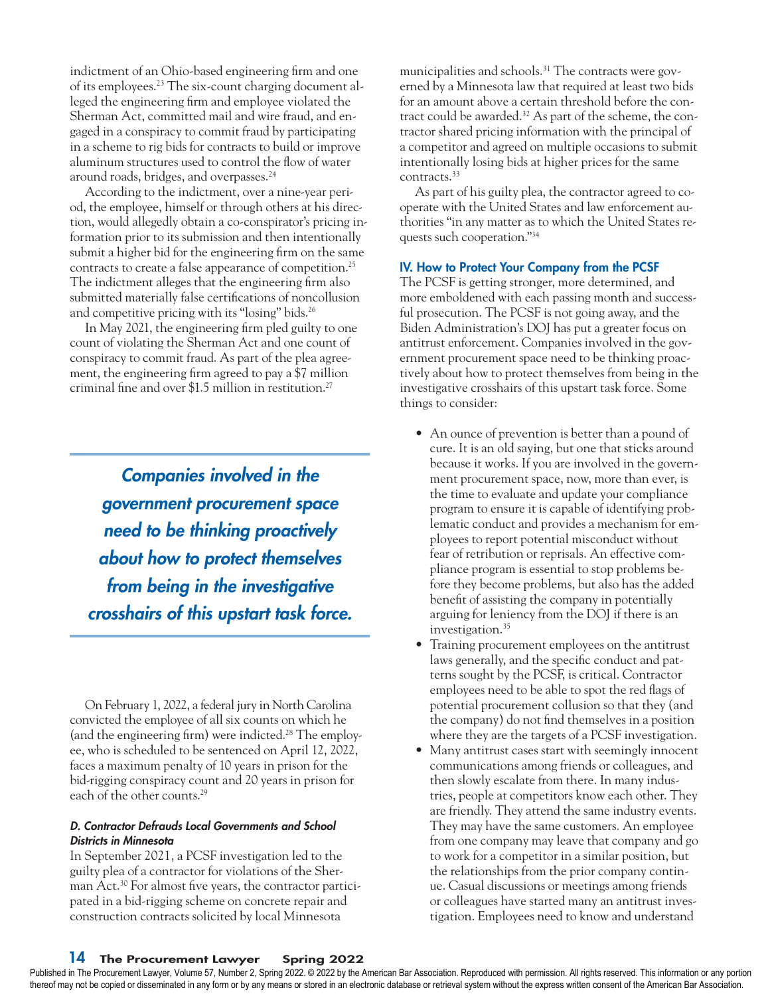indictment of an Ohio-based engineering firm and one of its employees.23 The six-count charging document alleged the engineering firm and employee violated the Sherman Act, committed mail and wire fraud, and engaged in a conspiracy to commit fraud by participating in a scheme to rig bids for contracts to build or improve aluminum structures used to control the flow of water around roads, bridges, and overpasses.24

According to the indictment, over a nine-year period, the employee, himself or through others at his direction, would allegedly obtain a co-conspirator's pricing information prior to its submission and then intentionally submit a higher bid for the engineering firm on the same contracts to create a false appearance of competition.25 The indictment alleges that the engineering firm also submitted materially false certifications of noncollusion and competitive pricing with its "losing" bids.26

In May 2021, the engineering firm pled guilty to one count of violating the Sherman Act and one count of conspiracy to commit fraud. As part of the plea agreement, the engineering firm agreed to pay a \$7 million criminal fine and over \$1.5 million in restitution.27

*Companies involved in the government procurement space need to be thinking proactively about how to protect themselves from being in the investigative crosshairs of this upstart task force.*

On February 1, 2022, a federal jury in North Carolina convicted the employee of all six counts on which he (and the engineering firm) were indicted.28 The employee, who is scheduled to be sentenced on April 12, 2022, faces a maximum penalty of 10 years in prison for the bid-rigging conspiracy count and 20 years in prison for each of the other counts.<sup>29</sup>

#### *D. Contractor Defrauds Local Governments and School Districts in Minnesota*

In September 2021, a PCSF investigation led to the guilty plea of a contractor for violations of the Sherman Act.<sup>30</sup> For almost five years, the contractor participated in a bid-rigging scheme on concrete repair and construction contracts solicited by local Minnesota

municipalities and schools.<sup>31</sup> The contracts were governed by a Minnesota law that required at least two bids for an amount above a certain threshold before the contract could be awarded.<sup>32</sup> As part of the scheme, the contractor shared pricing information with the principal of a competitor and agreed on multiple occasions to submit intentionally losing bids at higher prices for the same contracts.33

As part of his guilty plea, the contractor agreed to cooperate with the United States and law enforcement authorities "in any matter as to which the United States requests such cooperation."34

## IV. How to Protect Your Company from the PCSF

The PCSF is getting stronger, more determined, and more emboldened with each passing month and successful prosecution. The PCSF is not going away, and the Biden Administration's DOJ has put a greater focus on antitrust enforcement. Companies involved in the government procurement space need to be thinking proactively about how to protect themselves from being in the investigative crosshairs of this upstart task force. Some things to consider:

- An ounce of prevention is better than a pound of cure. It is an old saying, but one that sticks around because it works. If you are involved in the government procurement space, now, more than ever, is the time to evaluate and update your compliance program to ensure it is capable of identifying problematic conduct and provides a mechanism for employees to report potential misconduct without fear of retribution or reprisals. An effective compliance program is essential to stop problems before they become problems, but also has the added benefit of assisting the company in potentially arguing for leniency from the DOJ if there is an investigation.<sup>35</sup>
- Training procurement employees on the antitrust laws generally, and the specific conduct and patterns sought by the PCSF, is critical. Contractor employees need to be able to spot the red flags of potential procurement collusion so that they (and the company) do not find themselves in a position where they are the targets of a PCSF investigation.
- Many antitrust cases start with seemingly innocent communications among friends or colleagues, and then slowly escalate from there. In many industries, people at competitors know each other. They are friendly. They attend the same industry events. They may have the same customers. An employee from one company may leave that company and go to work for a competitor in a similar position, but the relationships from the prior company continue. Casual discussions or meetings among friends or colleagues have started many an antitrust investigation. Employees need to know and understand

14 The Procurement Lawyer Spring 2022

Published in The Procurement Lawyer, Volume 57, Number 2, Spring 2022. © 2022 by the American Bar Association. Reproduced with permission. All rights reserved. This information or any portion thereof may not be copied or disseminated in any form or by any means or stored in an electronic database or retrieval system without the express written consent of the American Bar Association.